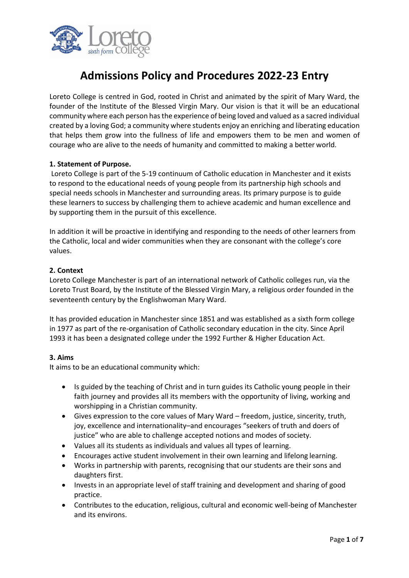

# **Admissions Policy and Procedures 2022-23 Entry**

Loreto College is centred in God, rooted in Christ and animated by the spirit of Mary Ward, the founder of the Institute of the Blessed Virgin Mary. Our vision is that it will be an educational community where each person hasthe experience of being loved and valued as a sacred individual created by a loving God; a community where students enjoy an enriching and liberating education that helps them grow into the fullness of life and empowers them to be men and women of courage who are alive to the needs of humanity and committed to making a better world.

## **1. Statement of Purpose.**

Loreto College is part of the 5-19 continuum of Catholic education in Manchester and it exists to respond to the educational needs of young people from its partnership high schools and special needs schools in Manchester and surrounding areas. Its primary purpose is to guide these learners to success by challenging them to achieve academic and human excellence and by supporting them in the pursuit of this excellence.

In addition it will be proactive in identifying and responding to the needs of other learners from the Catholic, local and wider communities when they are consonant with the college's core values.

## **2. Context**

Loreto College Manchester is part of an international network of Catholic colleges run, via the Loreto Trust Board, by the Institute of the Blessed Virgin Mary, a religious order founded in the seventeenth century by the Englishwoman Mary Ward.

It has provided education in Manchester since 1851 and was established as a sixth form college in 1977 as part of the re-organisation of Catholic secondary education in the city. Since April 1993 it has been a designated college under the 1992 Further & Higher Education Act.

## **3. Aims**

It aims to be an educational community which:

- Is guided by the teaching of Christ and in turn guides its Catholic young people in their faith journey and provides all its members with the opportunity of living, working and worshipping in a Christian community.
- Gives expression to the core values of Mary Ward freedom, justice, sincerity, truth, joy, excellence and internationality–and encourages "seekers of truth and doers of justice" who are able to challenge accepted notions and modes of society.
- Values all its students as individuals and values all types of learning.
- Encourages active student involvement in their own learning and lifelong learning.
- Works in partnership with parents, recognising that our students are their sons and daughters first.
- Invests in an appropriate level of staff training and development and sharing of good practice.
- Contributes to the education, religious, cultural and economic well-being of Manchester and its environs.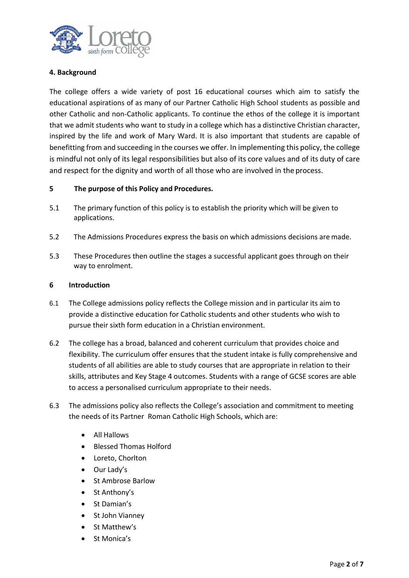

## **4. Background**

The college offers a wide variety of post 16 educational courses which aim to satisfy the educational aspirations of as many of our Partner Catholic High School students as possible and other Catholic and non-Catholic applicants. To continue the ethos of the college it is important that we admit students who want to study in a college which has a distinctive Christian character, inspired by the life and work of Mary Ward. It is also important that students are capable of benefitting from and succeeding in the courses we offer. In implementing this policy, the college is mindful not only of its legal responsibilities but also of its core values and of its duty of care and respect for the dignity and worth of all those who are involved in the process.

## **5 The purpose of this Policy and Procedures.**

- 5.1 The primary function of this policy is to establish the priority which will be given to applications.
- 5.2 The Admissions Procedures express the basis on which admissions decisions are made.
- 5.3 These Procedures then outline the stages a successful applicant goes through on their way to enrolment.

#### **6 Introduction**

- 6.1 The College admissions policy reflects the College mission and in particular its aim to provide a distinctive education for Catholic students and other students who wish to pursue their sixth form education in a Christian environment.
- 6.2 The college has a broad, balanced and coherent curriculum that provides choice and flexibility. The curriculum offer ensures that the student intake is fully comprehensive and students of all abilities are able to study courses that are appropriate in relation to their skills, attributes and Key Stage 4 outcomes. Students with a range of GCSE scores are able to access a personalised curriculum appropriate to their needs.
- 6.3 The admissions policy also reflects the College's association and commitment to meeting the needs of its Partner Roman Catholic High Schools, which are:
	- All Hallows
	- Blessed Thomas Holford
	- Loreto, Chorlton
	- Our Lady's
	- St Ambrose Barlow
	- St Anthony's
	- St Damian's
	- St John Vianney
	- St Matthew's
	- St Monica's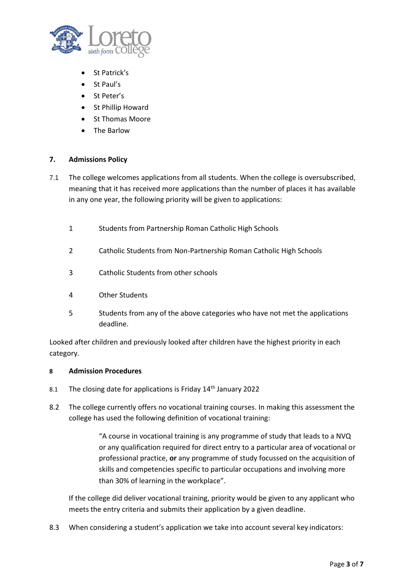

- St Patrick's
- St Paul's
- St Peter's
- St Phillip Howard
- St Thomas Moore
- The Barlow

## **7. Admissions Policy**

- 7.1 The college welcomes applications from all students. When the college is oversubscribed, meaning that it has received more applications than the number of places it has available in any one year, the following priority will be given to applications:
	- 1 Students from Partnership Roman Catholic High Schools
	- 2 Catholic Students from Non-Partnership Roman Catholic High Schools
	- 3 Catholic Students from other schools
	- 4 Other Students
	- 5 Students from any of the above categories who have not met the applications deadline.

Looked after children and previously looked after children have the highest priority in each category.

## **8 Admission Procedures**

- 8.1 The closing date for applications is Friday 14<sup>th</sup> January 2022
- 8.2 The college currently offers no vocational training courses. In making this assessment the college has used the following definition of vocational training:

"A course in vocational training is any programme of study that leads to a NVQ or any qualification required for direct entry to a particular area of vocational or professional practice, **or** any programme of study focussed on the acquisition of skills and competencies specific to particular occupations and involving more than 30% of learning in the workplace".

If the college did deliver vocational training, priority would be given to any applicant who meets the entry criteria and submits their application by a given deadline.

8.3 When considering a student's application we take into account several key indicators: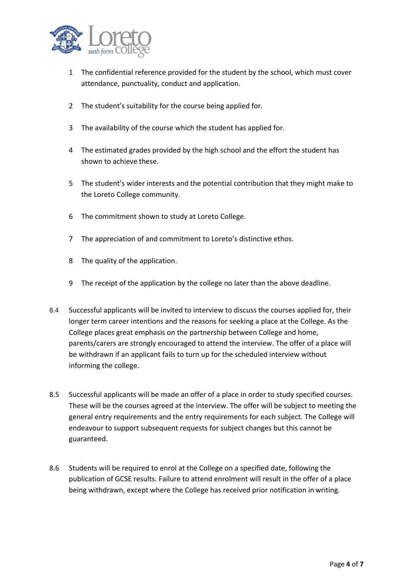

- 1 The confidential reference provided for the student by the school, which must cover attendance, punctuality, conduct and application.
- 2 The student's suitability for the course being applied for.
- 3 The availability of the course which the student has applied for.
- 4 The estimated grades provided by the high school and the effort the student has shown to achieve these.
- 5 The student's wider interests and the potential contribution that they might make to the Loreto College community.
- 6 The commitment shown to study at Loreto College.
- 7 The appreciation of and commitment to Loreto's distinctive ethos.
- 8 The quality of the application.
- 9 The receipt of the application by the college no later than the above deadline.
- 8.4 Successful applicants will be invited to interview to discuss the courses applied for, their longer term career intentions and the reasons for seeking a place at the College. As the College places great emphasis on the partnership between College and home, parents/carers are strongly encouraged to attend the interview. The offer of a place will be withdrawn if an applicant fails to turn up for the scheduled interview without informing the college.
- 8.5 Successful applicants will be made an offer of a place in order to study specified courses. These will be the courses agreed at the interview. The offer will be subject to meeting the general entry requirements and the entry requirements for each subject. The College will endeavour to support subsequent requests for subject changes but this cannot be guaranteed.
- 8.6 Students will be required to enrol at the College on a specified date, following the publication of GCSE results. Failure to attend enrolment will result in the offer of a place being withdrawn, except where the College has received prior notification in writing.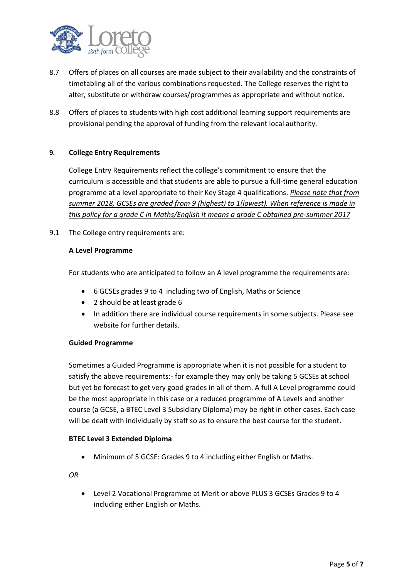

- 8.7 Offers of places on all courses are made subject to their availability and the constraints of timetabling all of the various combinations requested. The College reserves the right to alter, substitute or withdraw courses/programmes as appropriate and without notice.
- 8.8 Offers of places to students with high cost additional learning support requirements are provisional pending the approval of funding from the relevant local authority.

## **9. College Entry Requirements**

College Entry Requirements reflect the college's commitment to ensure that the curriculum is accessible and that students are able to pursue a full-time general education programme at a level appropriate to their Key Stage 4 qualifications. *Please note that from summer 2018, GCSEs are graded from 9 (highest) to 1(lowest). When reference is made in this policy for a grade C in Maths/English it means a grade C obtained pre-summer 2017*

9.1 The College entry requirements are:

## **A Level Programme**

For students who are anticipated to follow an A level programme the requirements are:

- 6 GCSEs grades 9 to 4 including two of English, Maths or Science
- 2 should be at least grade 6
- In addition there are individual course requirements in some subjects. Please see website for further details.

## **Guided Programme**

Sometimes a Guided Programme is appropriate when it is not possible for a student to satisfy the above requirements:- for example they may only be taking 5 GCSEs at school but yet be forecast to get very good grades in all of them. A full A Level programme could be the most appropriate in this case or a reduced programme of A Levels and another course (a GCSE, a BTEC Level 3 Subsidiary Diploma) may be right in other cases. Each case will be dealt with individually by staff so as to ensure the best course for the student.

#### **BTEC Level 3 Extended Diploma**

• Minimum of 5 GCSE: Grades 9 to 4 including either English or Maths.

*OR*

• Level 2 Vocational Programme at Merit or above PLUS 3 GCSEs Grades 9 to 4 including either English or Maths.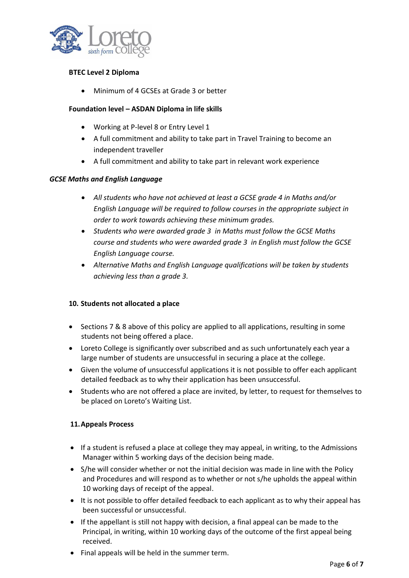

## **BTEC Level 2 Diploma**

• Minimum of 4 GCSEs at Grade 3 or better

## **Foundation level – ASDAN Diploma in life skills**

- Working at P-level 8 or Entry Level 1
- A full commitment and ability to take part in Travel Training to become an independent traveller
- A full commitment and ability to take part in relevant work experience

## *GCSE Maths and English Language*

- *All students who have not achieved at least a GCSE grade 4 in Maths and/or English Language will be required to follow courses in the appropriate subject in order to work towards achieving these minimum grades.*
- *Students who were awarded grade 3 in Maths must follow the GCSE Maths course and students who were awarded grade 3 in English must follow the GCSE English Language course.*
- *Alternative Maths and English Language qualifications will be taken by students achieving less than a grade 3.*

## **10. Students not allocated a place**

- Sections 7 & 8 above of this policy are applied to all applications, resulting in some students not being offered a place.
- Loreto College is significantly over subscribed and as such unfortunately each year a large number of students are unsuccessful in securing a place at the college.
- Given the volume of unsuccessful applications it is not possible to offer each applicant detailed feedback as to why their application has been unsuccessful.
- Students who are not offered a place are invited, by letter, to request for themselves to be placed on Loreto's Waiting List.

## **11.Appeals Process**

- If a student is refused a place at college they may appeal, in writing, to the Admissions Manager within 5 working days of the decision being made.
- S/he will consider whether or not the initial decision was made in line with the Policy and Procedures and will respond as to whether or not s/he upholds the appeal within 10 working days of receipt of the appeal.
- It is not possible to offer detailed feedback to each applicant as to why their appeal has been successful or unsuccessful.
- If the appellant is still not happy with decision, a final appeal can be made to the Principal, in writing, within 10 working days of the outcome of the first appeal being received.
- Final appeals will be held in the summer term.